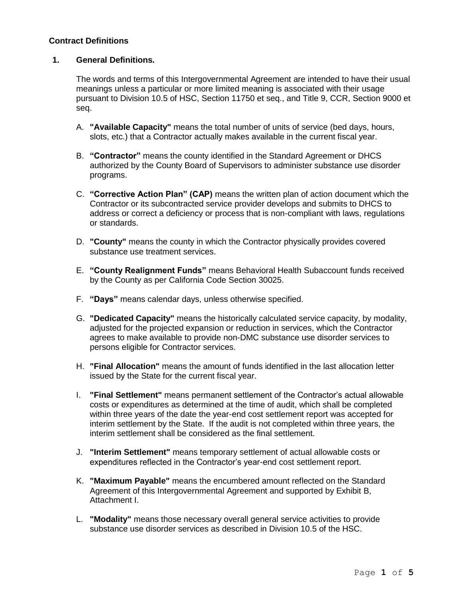## **Contract Definitions**

## **1. General Definitions.**

The words and terms of this Intergovernmental Agreement are intended to have their usual meanings unless a particular or more limited meaning is associated with their usage pursuant to Division 10.5 of HSC, Section 11750 et seq., and Title 9, CCR, Section 9000 et seq.

- A. **"Available Capacity"** means the total number of units of service (bed days, hours, slots, etc.) that a Contractor actually makes available in the current fiscal year.
- B. **"Contractor"** means the county identified in the Standard Agreement or DHCS authorized by the County Board of Supervisors to administer substance use disorder programs.
- C. **"Corrective Action Plan" (CAP)** means the written plan of action document which the Contractor or its subcontracted service provider develops and submits to DHCS to address or correct a deficiency or process that is non-compliant with laws, regulations or standards.
- D. **"County"** means the county in which the Contractor physically provides covered substance use treatment services.
- E. **"County Realignment Funds"** means Behavioral Health Subaccount funds received by the County as per California Code Section 30025.
- F. **"Days"** means calendar days, unless otherwise specified.
- G. **"Dedicated Capacity"** means the historically calculated service capacity, by modality, adjusted for the projected expansion or reduction in services, which the Contractor agrees to make available to provide non-DMC substance use disorder services to persons eligible for Contractor services.
- H. **"Final Allocation"** means the amount of funds identified in the last allocation letter issued by the State for the current fiscal year.
- I. **"Final Settlement"** means permanent settlement of the Contractor's actual allowable costs or expenditures as determined at the time of audit, which shall be completed within three years of the date the year-end cost settlement report was accepted for interim settlement by the State. If the audit is not completed within three years, the interim settlement shall be considered as the final settlement.
- J. **"Interim Settlement"** means temporary settlement of actual allowable costs or expenditures reflected in the Contractor's year-end cost settlement report.
- K. **"Maximum Payable"** means the encumbered amount reflected on the Standard Agreement of this Intergovernmental Agreement and supported by Exhibit B, Attachment I.
- L. **"Modality"** means those necessary overall general service activities to provide substance use disorder services as described in Division 10.5 of the HSC.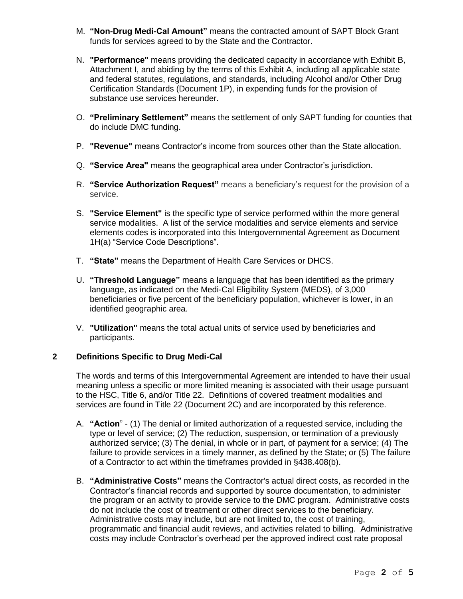- M. **"Non-Drug Medi-Cal Amount"** means the contracted amount of SAPT Block Grant funds for services agreed to by the State and the Contractor.
- N. **"Performance"** means providing the dedicated capacity in accordance with Exhibit B, Attachment I, and abiding by the terms of this Exhibit A, including all applicable state and federal statutes, regulations, and standards, including Alcohol and/or Other Drug Certification Standards (Document 1P), in expending funds for the provision of substance use services hereunder.
- O. **"Preliminary Settlement"** means the settlement of only SAPT funding for counties that do include DMC funding.
- P. **"Revenue"** means Contractor's income from sources other than the State allocation.
- Q. **"Service Area"** means the geographical area under Contractor's jurisdiction.
- R. **"Service Authorization Request"** means a beneficiary's request for the provision of a service.
- S. **"Service Element"** is the specific type of service performed within the more general service modalities. A list of the service modalities and service elements and service elements codes is incorporated into this Intergovernmental Agreement as Document 1H(a) "Service Code Descriptions".
- T. **"State"** means the Department of Health Care Services or DHCS.
- U. **"Threshold Language"** means a language that has been identified as the primary language, as indicated on the Medi-Cal Eligibility System (MEDS), of 3,000 beneficiaries or five percent of the beneficiary population, whichever is lower, in an identified geographic area.
- V. **"Utilization"** means the total actual units of service used by beneficiaries and participants.

## **2 Definitions Specific to Drug Medi-Cal**

The words and terms of this Intergovernmental Agreement are intended to have their usual meaning unless a specific or more limited meaning is associated with their usage pursuant to the HSC, Title 6, and/or Title 22. Definitions of covered treatment modalities and services are found in Title 22 (Document 2C) and are incorporated by this reference.

- A. **"Action**" (1) The denial or limited authorization of a requested service, including the type or level of service; (2) The reduction, suspension, or termination of a previously authorized service; (3) The denial, in whole or in part, of payment for a service; (4) The failure to provide services in a timely manner, as defined by the State; or (5) The failure of a Contractor to act within the timeframes provided in §438.408(b).
- B. **"Administrative Costs"** means the Contractor's actual direct costs, as recorded in the Contractor's financial records and supported by source documentation, to administer the program or an activity to provide service to the DMC program. Administrative costs do not include the cost of treatment or other direct services to the beneficiary. Administrative costs may include, but are not limited to, the cost of training, programmatic and financial audit reviews, and activities related to billing. Administrative costs may include Contractor's overhead per the approved indirect cost rate proposal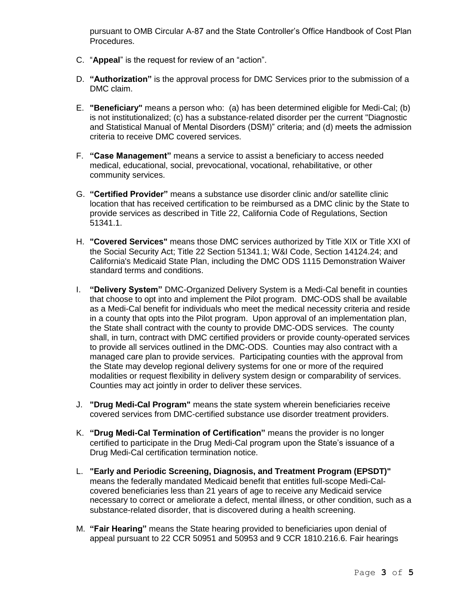pursuant to OMB Circular A-87 and the State Controller's Office Handbook of Cost Plan Procedures.

- C. "**Appeal**" is the request for review of an "action".
- D. **"Authorization"** is the approval process for DMC Services prior to the submission of a DMC claim.
- E. **"Beneficiary"** means a person who: (a) has been determined eligible for Medi-Cal; (b) is not institutionalized; (c) has a substance-related disorder per the current "Diagnostic and Statistical Manual of Mental Disorders (DSM)" criteria; and (d) meets the admission criteria to receive DMC covered services.
- F. **"Case Management"** means a service to assist a beneficiary to access needed medical, educational, social, prevocational, vocational, rehabilitative, or other community services.
- G. **"Certified Provider"** means a substance use disorder clinic and/or satellite clinic location that has received certification to be reimbursed as a DMC clinic by the State to provide services as described in Title 22, California Code of Regulations, Section 51341.1.
- H. **"Covered Services"** means those DMC services authorized by Title XIX or Title XXI of the Social Security Act; Title 22 Section 51341.1; W&I Code, Section 14124.24; and California's Medicaid State Plan, including the DMC ODS 1115 Demonstration Waiver standard terms and conditions.
- I. **"Delivery System"** DMC-Organized Delivery System is a Medi-Cal benefit in counties that choose to opt into and implement the Pilot program. DMC-ODS shall be available as a Medi-Cal benefit for individuals who meet the medical necessity criteria and reside in a county that opts into the Pilot program. Upon approval of an implementation plan, the State shall contract with the county to provide DMC-ODS services. The county shall, in turn, contract with DMC certified providers or provide county-operated services to provide all services outlined in the DMC-ODS. Counties may also contract with a managed care plan to provide services. Participating counties with the approval from the State may develop regional delivery systems for one or more of the required modalities or request flexibility in delivery system design or comparability of services. Counties may act jointly in order to deliver these services.
- J. **"Drug Medi-Cal Program"** means the state system wherein beneficiaries receive covered services from DMC-certified substance use disorder treatment providers.
- K. **"Drug Medi-Cal Termination of Certification"** means the provider is no longer certified to participate in the Drug Medi-Cal program upon the State's issuance of a Drug Medi-Cal certification termination notice.
- L. **"Early and Periodic Screening, Diagnosis, and Treatment Program (EPSDT)"**  means the federally mandated Medicaid benefit that entitles full-scope Medi-Calcovered beneficiaries less than 21 years of age to receive any Medicaid service necessary to correct or ameliorate a defect, mental illness, or other condition, such as a substance-related disorder, that is discovered during a health screening.
- M. **"Fair Hearing"** means the State hearing provided to beneficiaries upon denial of appeal pursuant to 22 CCR 50951 and 50953 and 9 CCR 1810.216.6. Fair hearings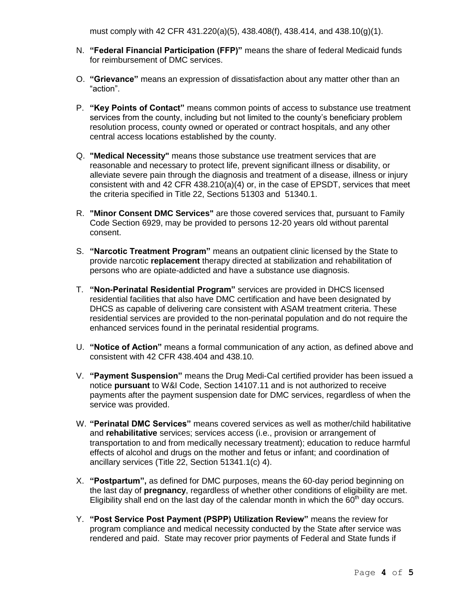must comply with 42 CFR 431.220(a)(5), 438.408(f), 438.414, and 438.10(g)(1).

- N. **"Federal Financial Participation (FFP)"** means the share of federal Medicaid funds for reimbursement of DMC services.
- O. **"Grievance"** means an expression of dissatisfaction about any matter other than an "action".
- P. **"Key Points of Contact"** means common points of access to substance use treatment services from the county, including but not limited to the county's beneficiary problem resolution process, county owned or operated or contract hospitals, and any other central access locations established by the county.
- Q. **"Medical Necessity"** means those substance use treatment services that are reasonable and necessary to protect life, prevent significant illness or disability, or alleviate severe pain through the diagnosis and treatment of a disease, illness or injury consistent with and 42 CFR 438.210(a)(4) or, in the case of EPSDT, services that meet the criteria specified in Title 22, Sections 51303 and 51340.1.
- R. **"Minor Consent DMC Services"** are those covered services that, pursuant to Family Code Section 6929, may be provided to persons 12-20 years old without parental consent.
- S. **"Narcotic Treatment Program"** means an outpatient clinic licensed by the State to provide narcotic **replacement** therapy directed at stabilization and rehabilitation of persons who are opiate-addicted and have a substance use diagnosis.
- T. **"Non-Perinatal Residential Program"** services are provided in DHCS licensed residential facilities that also have DMC certification and have been designated by DHCS as capable of delivering care consistent with ASAM treatment criteria. These residential services are provided to the non-perinatal population and do not require the enhanced services found in the perinatal residential programs.
- U. **"Notice of Action"** means a formal communication of any action, as defined above and consistent with 42 CFR 438.404 and 438.10.
- V. **"Payment Suspension"** means the Drug Medi-Cal certified provider has been issued a notice **pursuant** to W&I Code, Section 14107.11 and is not authorized to receive payments after the payment suspension date for DMC services, regardless of when the service was provided.
- W. **"Perinatal DMC Services"** means covered services as well as mother/child habilitative and **rehabilitative** services; services access (i.e., provision or arrangement of transportation to and from medically necessary treatment); education to reduce harmful effects of alcohol and drugs on the mother and fetus or infant; and coordination of ancillary services (Title 22, Section 51341.1(c) 4).
- X. **"Postpartum",** as defined for DMC purposes, means the 60-day period beginning on the last day of **pregnancy**, regardless of whether other conditions of eligibility are met. Eligibility shall end on the last day of the calendar month in which the 60<sup>th</sup> day occurs.
- Y. **"Post Service Post Payment (PSPP) Utilization Review"** means the review for program compliance and medical necessity conducted by the State after service was rendered and paid. State may recover prior payments of Federal and State funds if